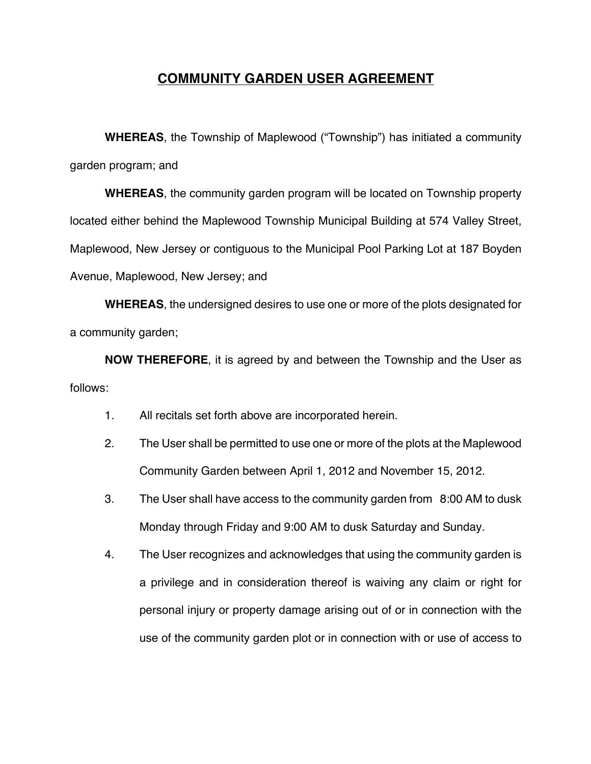## **COMMUNITY GARDEN USER AGREEMENT**

**WHEREAS**, the Township of Maplewood ("Township") has initiated a community garden program; and

**WHEREAS**, the community garden program will be located on Township property located either behind the Maplewood Township Municipal Building at 574 Valley Street, Maplewood, New Jersey or contiguous to the Municipal Pool Parking Lot at 187 Boyden Avenue, Maplewood, New Jersey; and

**WHEREAS**, the undersigned desires to use one or more of the plots designated for a community garden;

**NOW THEREFORE**, it is agreed by and between the Township and the User as follows:

- 1. All recitals set forth above are incorporated herein.
- 2. The User shall be permitted to use one or more of the plots at the Maplewood Community Garden between April 1, 2012 and November 15, 2012.
- 3. The User shall have access to the community garden from 8:00 AM to dusk Monday through Friday and 9:00 AM to dusk Saturday and Sunday.
- 4. The User recognizes and acknowledges that using the community garden is a privilege and in consideration thereof is waiving any claim or right for personal injury or property damage arising out of or in connection with the use of the community garden plot or in connection with or use of access to